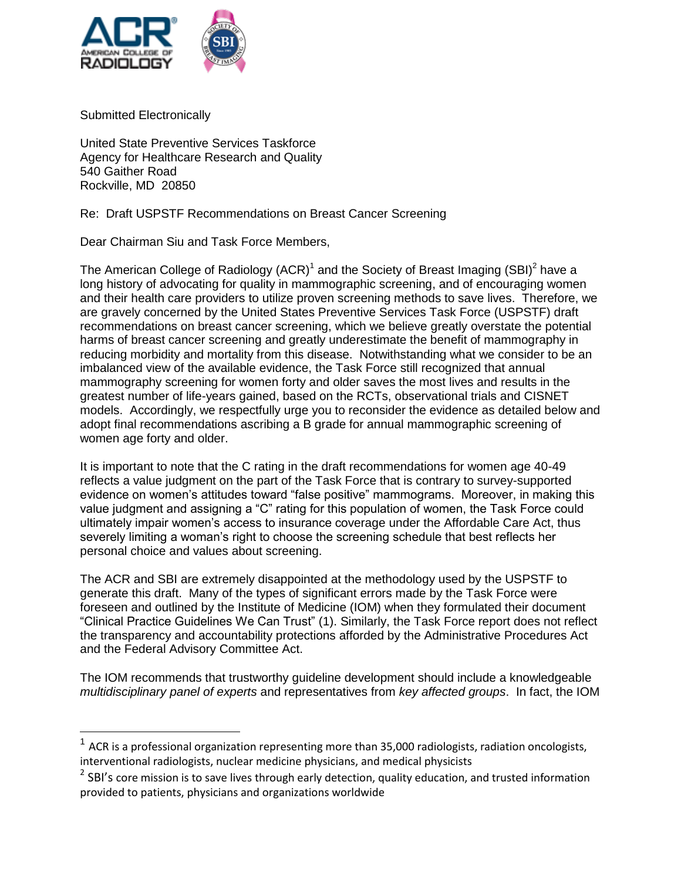

Submitted Electronically

United State Preventive Services Taskforce Agency for Healthcare Research and Quality 540 Gaither Road Rockville, MD 20850

Re: Draft USPSTF Recommendations on Breast Cancer Screening

Dear Chairman Siu and Task Force Members,

The American College of Radiology (ACR)<sup>1</sup> and the Society of Breast Imaging (SBI)<sup>2</sup> have a long history of advocating for quality in mammographic screening, and of encouraging women and their health care providers to utilize proven screening methods to save lives. Therefore, we are gravely concerned by the United States Preventive Services Task Force (USPSTF) draft recommendations on breast cancer screening, which we believe greatly overstate the potential harms of breast cancer screening and greatly underestimate the benefit of mammography in reducing morbidity and mortality from this disease. Notwithstanding what we consider to be an imbalanced view of the available evidence, the Task Force still recognized that annual mammography screening for women forty and older saves the most lives and results in the greatest number of life-years gained, based on the RCTs, observational trials and CISNET models. Accordingly, we respectfully urge you to reconsider the evidence as detailed below and adopt final recommendations ascribing a B grade for annual mammographic screening of women age forty and older.

It is important to note that the C rating in the draft recommendations for women age 40-49 reflects a value judgment on the part of the Task Force that is contrary to survey-supported evidence on women's attitudes toward "false positive" mammograms. Moreover, in making this value judgment and assigning a "C" rating for this population of women, the Task Force could ultimately impair women's access to insurance coverage under the Affordable Care Act, thus severely limiting a woman's right to choose the screening schedule that best reflects her personal choice and values about screening.

The ACR and SBI are extremely disappointed at the methodology used by the USPSTF to generate this draft. Many of the types of significant errors made by the Task Force were foreseen and outlined by the Institute of Medicine (IOM) when they formulated their document "Clinical Practice Guidelines We Can Trust" (1). Similarly, the Task Force report does not reflect the transparency and accountability protections afforded by the Administrative Procedures Act and the Federal Advisory Committee Act.

The IOM recommends that trustworthy guideline development should include a knowledgeable *multidisciplinary panel of experts* and representatives from *key affected groups*. In fact, the IOM

 1 ACR is a professional organization representing more than 35,000 radiologists, radiation oncologists, interventional radiologists, nuclear medicine physicians, and medical physicists

 $^{2}$  SBI's core mission is to save lives through early detection, quality education, and trusted information provided to patients, physicians and organizations worldwide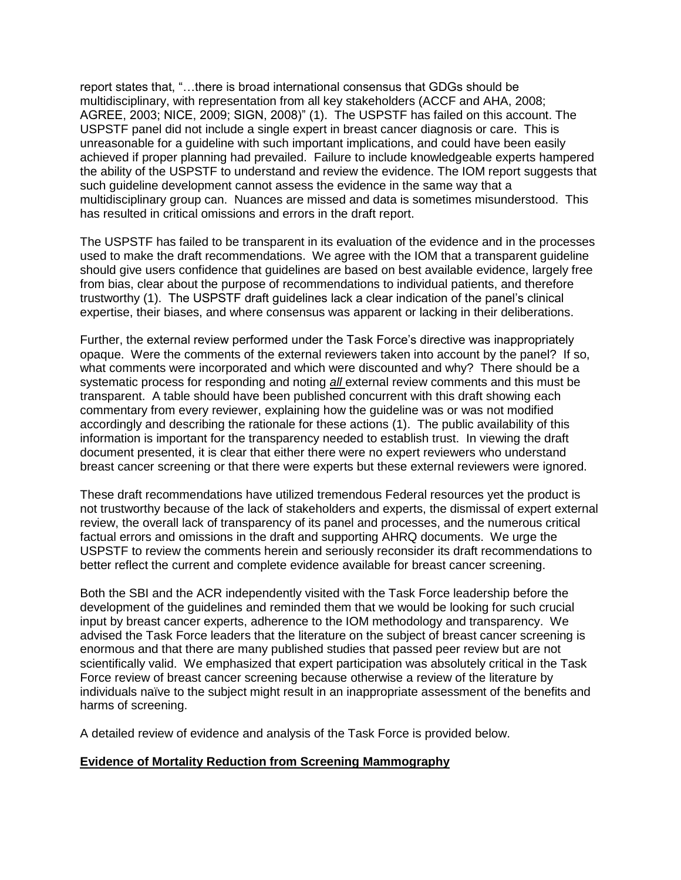report states that, "…there is broad international consensus that GDGs should be multidisciplinary, with representation from all key stakeholders (ACCF and AHA, 2008; AGREE, 2003; NICE, 2009; SIGN, 2008)" (1). The USPSTF has failed on this account. The USPSTF panel did not include a single expert in breast cancer diagnosis or care. This is unreasonable for a guideline with such important implications, and could have been easily achieved if proper planning had prevailed. Failure to include knowledgeable experts hampered the ability of the USPSTF to understand and review the evidence. The IOM report suggests that such guideline development cannot assess the evidence in the same way that a multidisciplinary group can. Nuances are missed and data is sometimes misunderstood. This has resulted in critical omissions and errors in the draft report.

The USPSTF has failed to be transparent in its evaluation of the evidence and in the processes used to make the draft recommendations. We agree with the IOM that a transparent guideline should give users confidence that guidelines are based on best available evidence, largely free from bias, clear about the purpose of recommendations to individual patients, and therefore trustworthy (1). The USPSTF draft guidelines lack a clear indication of the panel's clinical expertise, their biases, and where consensus was apparent or lacking in their deliberations.

Further, the external review performed under the Task Force's directive was inappropriately opaque. Were the comments of the external reviewers taken into account by the panel? If so, what comments were incorporated and which were discounted and why? There should be a systematic process for responding and noting *all* external review comments and this must be transparent. A table should have been published concurrent with this draft showing each commentary from every reviewer, explaining how the guideline was or was not modified accordingly and describing the rationale for these actions (1). The public availability of this information is important for the transparency needed to establish trust. In viewing the draft document presented, it is clear that either there were no expert reviewers who understand breast cancer screening or that there were experts but these external reviewers were ignored.

These draft recommendations have utilized tremendous Federal resources yet the product is not trustworthy because of the lack of stakeholders and experts, the dismissal of expert external review, the overall lack of transparency of its panel and processes, and the numerous critical factual errors and omissions in the draft and supporting AHRQ documents. We urge the USPSTF to review the comments herein and seriously reconsider its draft recommendations to better reflect the current and complete evidence available for breast cancer screening.

Both the SBI and the ACR independently visited with the Task Force leadership before the development of the guidelines and reminded them that we would be looking for such crucial input by breast cancer experts, adherence to the IOM methodology and transparency. We advised the Task Force leaders that the literature on the subject of breast cancer screening is enormous and that there are many published studies that passed peer review but are not scientifically valid. We emphasized that expert participation was absolutely critical in the Task Force review of breast cancer screening because otherwise a review of the literature by individuals naïve to the subject might result in an inappropriate assessment of the benefits and harms of screening.

A detailed review of evidence and analysis of the Task Force is provided below.

#### **Evidence of Mortality Reduction from Screening Mammography**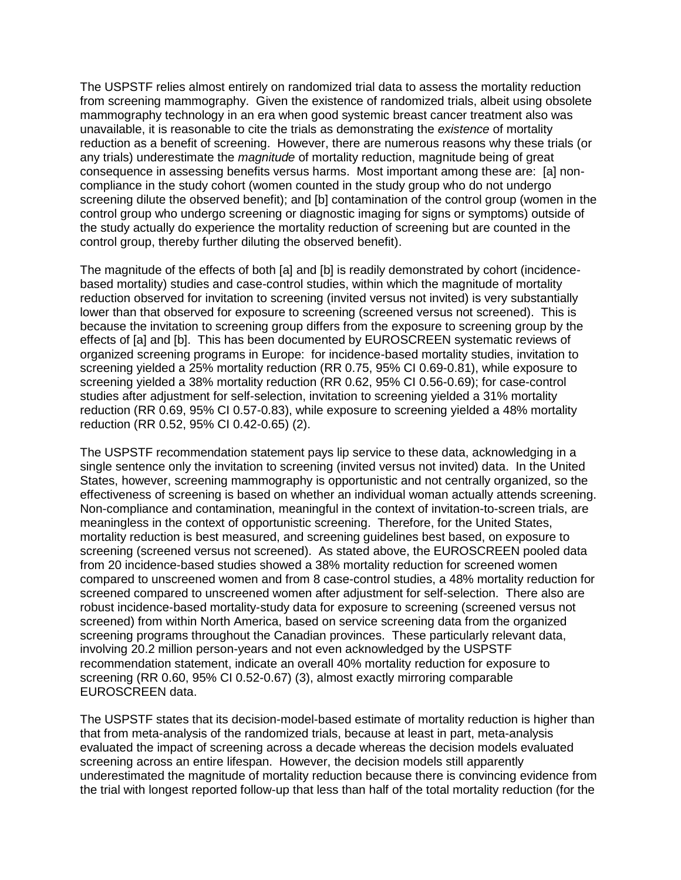The USPSTF relies almost entirely on randomized trial data to assess the mortality reduction from screening mammography. Given the existence of randomized trials, albeit using obsolete mammography technology in an era when good systemic breast cancer treatment also was unavailable, it is reasonable to cite the trials as demonstrating the *existence* of mortality reduction as a benefit of screening. However, there are numerous reasons why these trials (or any trials) underestimate the *magnitude* of mortality reduction, magnitude being of great consequence in assessing benefits versus harms. Most important among these are: [a] noncompliance in the study cohort (women counted in the study group who do not undergo screening dilute the observed benefit); and [b] contamination of the control group (women in the control group who undergo screening or diagnostic imaging for signs or symptoms) outside of the study actually do experience the mortality reduction of screening but are counted in the control group, thereby further diluting the observed benefit).

The magnitude of the effects of both [a] and [b] is readily demonstrated by cohort (incidencebased mortality) studies and case-control studies, within which the magnitude of mortality reduction observed for invitation to screening (invited versus not invited) is very substantially lower than that observed for exposure to screening (screened versus not screened). This is because the invitation to screening group differs from the exposure to screening group by the effects of [a] and [b]. This has been documented by EUROSCREEN systematic reviews of organized screening programs in Europe: for incidence-based mortality studies, invitation to screening yielded a 25% mortality reduction (RR 0.75, 95% CI 0.69-0.81), while exposure to screening yielded a 38% mortality reduction (RR 0.62, 95% CI 0.56-0.69); for case-control studies after adjustment for self-selection, invitation to screening yielded a 31% mortality reduction (RR 0.69, 95% CI 0.57-0.83), while exposure to screening yielded a 48% mortality reduction (RR 0.52, 95% CI 0.42-0.65) (2).

The USPSTF recommendation statement pays lip service to these data, acknowledging in a single sentence only the invitation to screening (invited versus not invited) data. In the United States, however, screening mammography is opportunistic and not centrally organized, so the effectiveness of screening is based on whether an individual woman actually attends screening. Non-compliance and contamination, meaningful in the context of invitation-to-screen trials, are meaningless in the context of opportunistic screening. Therefore, for the United States, mortality reduction is best measured, and screening guidelines best based, on exposure to screening (screened versus not screened). As stated above, the EUROSCREEN pooled data from 20 incidence-based studies showed a 38% mortality reduction for screened women compared to unscreened women and from 8 case-control studies, a 48% mortality reduction for screened compared to unscreened women after adjustment for self-selection. There also are robust incidence-based mortality-study data for exposure to screening (screened versus not screened) from within North America, based on service screening data from the organized screening programs throughout the Canadian provinces. These particularly relevant data, involving 20.2 million person-years and not even acknowledged by the USPSTF recommendation statement, indicate an overall 40% mortality reduction for exposure to screening (RR 0.60, 95% CI 0.52-0.67) (3), almost exactly mirroring comparable EUROSCREEN data.

The USPSTF states that its decision-model-based estimate of mortality reduction is higher than that from meta-analysis of the randomized trials, because at least in part, meta-analysis evaluated the impact of screening across a decade whereas the decision models evaluated screening across an entire lifespan. However, the decision models still apparently underestimated the magnitude of mortality reduction because there is convincing evidence from the trial with longest reported follow-up that less than half of the total mortality reduction (for the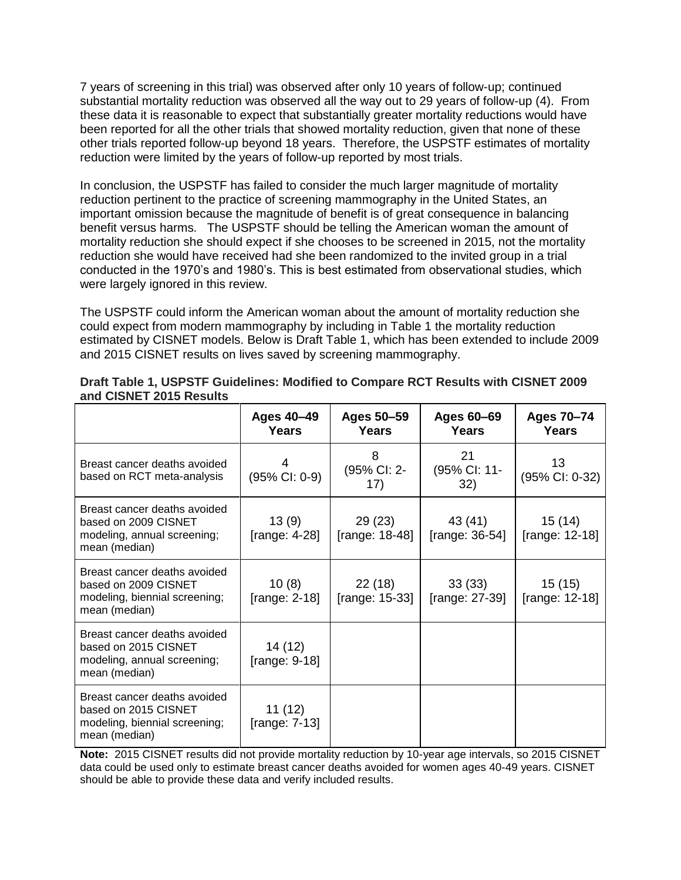7 years of screening in this trial) was observed after only 10 years of follow-up; continued substantial mortality reduction was observed all the way out to 29 years of follow-up (4). From these data it is reasonable to expect that substantially greater mortality reductions would have been reported for all the other trials that showed mortality reduction, given that none of these other trials reported follow-up beyond 18 years. Therefore, the USPSTF estimates of mortality reduction were limited by the years of follow-up reported by most trials.

In conclusion, the USPSTF has failed to consider the much larger magnitude of mortality reduction pertinent to the practice of screening mammography in the United States, an important omission because the magnitude of benefit is of great consequence in balancing benefit versus harms. The USPSTF should be telling the American woman the amount of mortality reduction she should expect if she chooses to be screened in 2015, not the mortality reduction she would have received had she been randomized to the invited group in a trial conducted in the 1970's and 1980's. This is best estimated from observational studies, which were largely ignored in this review.

The USPSTF could inform the American woman about the amount of mortality reduction she could expect from modern mammography by including in Table 1 the mortality reduction estimated by CISNET models. Below is Draft Table 1, which has been extended to include 2009 and 2015 CISNET results on lives saved by screening mammography.

|                                                                                                        | Ages 40-49<br><b>Years</b>  | Ages 50-59<br><b>Years</b> | Ages 60-69<br>Years          | Ages 70-74<br>Years       |
|--------------------------------------------------------------------------------------------------------|-----------------------------|----------------------------|------------------------------|---------------------------|
| Breast cancer deaths avoided<br>based on RCT meta-analysis                                             | (95% CI: 0-9)               | 8<br>(95% CI: 2-<br>17)    | 21<br>(95% CI: 11-<br>32)    | 13<br>(95% CI: 0-32)      |
| Breast cancer deaths avoided<br>based on 2009 CISNET<br>modeling, annual screening;<br>mean (median)   | 13(9)<br>[range: 4-28]      | 29 (23)<br>[range: 18-48]  | 43 (41)<br>[range: $36-54$ ] | 15 (14)<br>[range: 12-18] |
| Breast cancer deaths avoided<br>based on 2009 CISNET<br>modeling, biennial screening;<br>mean (median) | 10(8)<br>[range: $2-18$ ]   | 22 (18)<br>[range: 15-33]  | 33(33)<br>[range: 27-39]     | 15(15)<br>[range: 12-18]  |
| Breast cancer deaths avoided<br>based on 2015 CISNET<br>modeling, annual screening;<br>mean (median)   | 14 (12)<br>[range: $9-18$ ] |                            |                              |                           |
| Breast cancer deaths avoided<br>based on 2015 CISNET<br>modeling, biennial screening;<br>mean (median) | 11 (12)<br>[range: $7-13$ ] |                            |                              |                           |

| Draft Table 1, USPSTF Guidelines: Modified to Compare RCT Results with CISNET 2009 |  |
|------------------------------------------------------------------------------------|--|
| and CISNET 2015 Results                                                            |  |

**Note:** 2015 CISNET results did not provide mortality reduction by 10-year age intervals, so 2015 CISNET data could be used only to estimate breast cancer deaths avoided for women ages 40-49 years. CISNET should be able to provide these data and verify included results.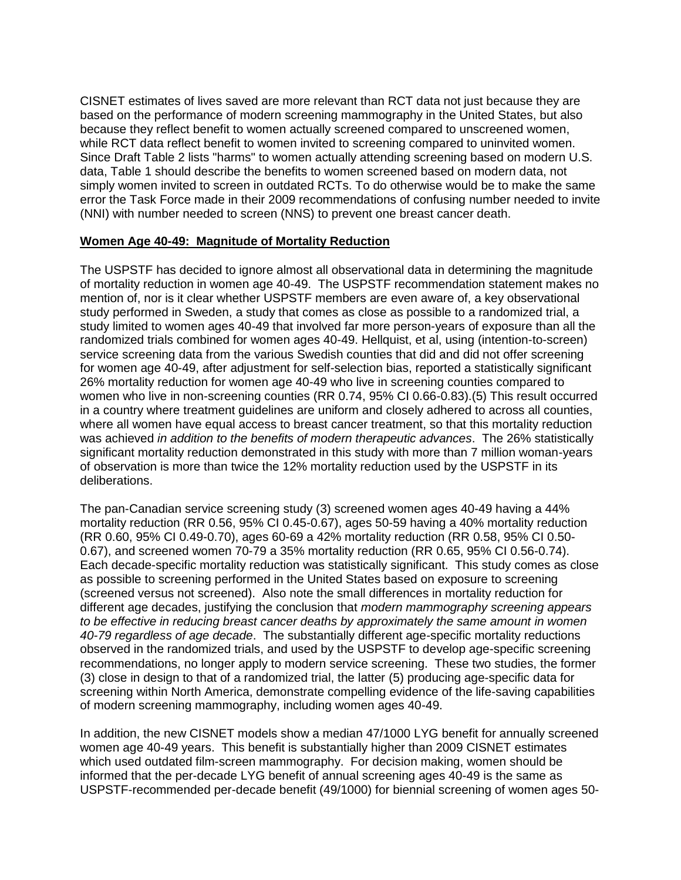CISNET estimates of lives saved are more relevant than RCT data not just because they are based on the performance of modern screening mammography in the United States, but also because they reflect benefit to women actually screened compared to unscreened women, while RCT data reflect benefit to women invited to screening compared to uninvited women. Since Draft Table 2 lists "harms" to women actually attending screening based on modern U.S. data, Table 1 should describe the benefits to women screened based on modern data, not simply women invited to screen in outdated RCTs. To do otherwise would be to make the same error the Task Force made in their 2009 recommendations of confusing number needed to invite (NNI) with number needed to screen (NNS) to prevent one breast cancer death.

#### **Women Age 40-49: Magnitude of Mortality Reduction**

The USPSTF has decided to ignore almost all observational data in determining the magnitude of mortality reduction in women age 40-49. The USPSTF recommendation statement makes no mention of, nor is it clear whether USPSTF members are even aware of, a key observational study performed in Sweden, a study that comes as close as possible to a randomized trial, a study limited to women ages 40-49 that involved far more person-years of exposure than all the randomized trials combined for women ages 40-49. Hellquist, et al, using (intention-to-screen) service screening data from the various Swedish counties that did and did not offer screening for women age 40-49, after adjustment for self-selection bias, reported a statistically significant 26% mortality reduction for women age 40-49 who live in screening counties compared to women who live in non-screening counties (RR 0.74, 95% CI 0.66-0.83).(5) This result occurred in a country where treatment guidelines are uniform and closely adhered to across all counties, where all women have equal access to breast cancer treatment, so that this mortality reduction was achieved *in addition to the benefits of modern therapeutic advances*. The 26% statistically significant mortality reduction demonstrated in this study with more than 7 million woman-years of observation is more than twice the 12% mortality reduction used by the USPSTF in its deliberations.

The pan-Canadian service screening study (3) screened women ages 40-49 having a 44% mortality reduction (RR 0.56, 95% CI 0.45-0.67), ages 50-59 having a 40% mortality reduction (RR 0.60, 95% CI 0.49-0.70), ages 60-69 a 42% mortality reduction (RR 0.58, 95% CI 0.50- 0.67), and screened women 70-79 a 35% mortality reduction (RR 0.65, 95% CI 0.56-0.74). Each decade-specific mortality reduction was statistically significant. This study comes as close as possible to screening performed in the United States based on exposure to screening (screened versus not screened). Also note the small differences in mortality reduction for different age decades, justifying the conclusion that *modern mammography screening appears to be effective in reducing breast cancer deaths by approximately the same amount in women 40-79 regardless of age decade*. The substantially different age-specific mortality reductions observed in the randomized trials, and used by the USPSTF to develop age-specific screening recommendations, no longer apply to modern service screening. These two studies, the former (3) close in design to that of a randomized trial, the latter (5) producing age-specific data for screening within North America, demonstrate compelling evidence of the life-saving capabilities of modern screening mammography, including women ages 40-49.

In addition, the new CISNET models show a median 47/1000 LYG benefit for annually screened women age 40-49 years. This benefit is substantially higher than 2009 CISNET estimates which used outdated film-screen mammography. For decision making, women should be informed that the per-decade LYG benefit of annual screening ages 40-49 is the same as USPSTF-recommended per-decade benefit (49/1000) for biennial screening of women ages 50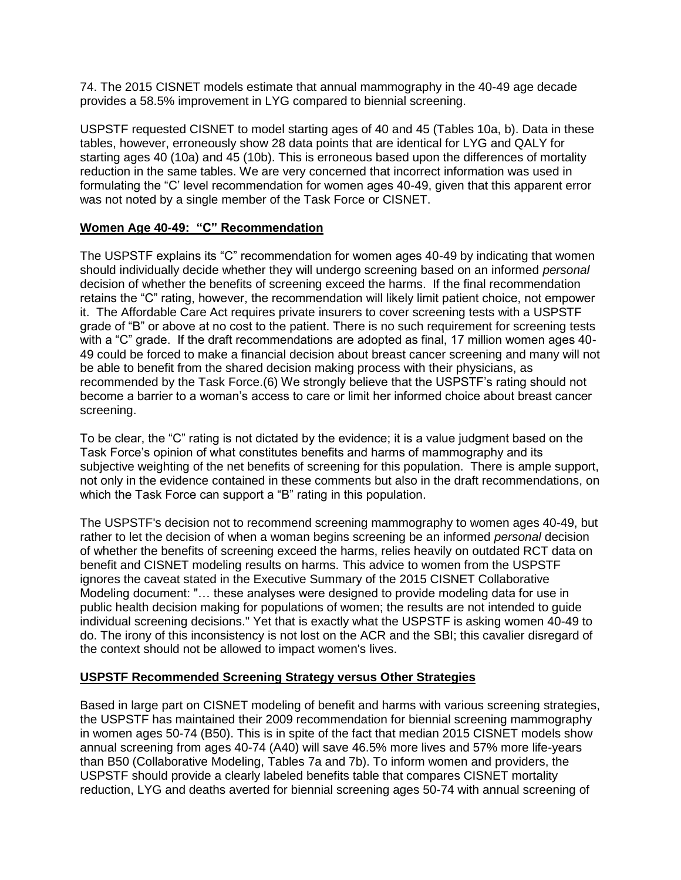74. The 2015 CISNET models estimate that annual mammography in the 40-49 age decade provides a 58.5% improvement in LYG compared to biennial screening.

USPSTF requested CISNET to model starting ages of 40 and 45 (Tables 10a, b). Data in these tables, however, erroneously show 28 data points that are identical for LYG and QALY for starting ages 40 (10a) and 45 (10b). This is erroneous based upon the differences of mortality reduction in the same tables. We are very concerned that incorrect information was used in formulating the "C' level recommendation for women ages 40-49, given that this apparent error was not noted by a single member of the Task Force or CISNET.

## **Women Age 40-49: "C" Recommendation**

The USPSTF explains its "C" recommendation for women ages 40-49 by indicating that women should individually decide whether they will undergo screening based on an informed *personal* decision of whether the benefits of screening exceed the harms. If the final recommendation retains the "C" rating, however, the recommendation will likely limit patient choice, not empower it. The Affordable Care Act requires private insurers to cover screening tests with a USPSTF grade of "B" or above at no cost to the patient. There is no such requirement for screening tests with a "C" grade. If the draft recommendations are adopted as final, 17 million women ages 40- 49 could be forced to make a financial decision about breast cancer screening and many will not be able to benefit from the shared decision making process with their physicians, as recommended by the Task Force.(6) We strongly believe that the USPSTF's rating should not become a barrier to a woman's access to care or limit her informed choice about breast cancer screening.

To be clear, the "C" rating is not dictated by the evidence; it is a value judgment based on the Task Force's opinion of what constitutes benefits and harms of mammography and its subjective weighting of the net benefits of screening for this population. There is ample support, not only in the evidence contained in these comments but also in the draft recommendations, on which the Task Force can support a "B" rating in this population.

The USPSTF's decision not to recommend screening mammography to women ages 40-49, but rather to let the decision of when a woman begins screening be an informed *personal* decision of whether the benefits of screening exceed the harms, relies heavily on outdated RCT data on benefit and CISNET modeling results on harms. This advice to women from the USPSTF ignores the caveat stated in the Executive Summary of the 2015 CISNET Collaborative Modeling document: "… these analyses were designed to provide modeling data for use in public health decision making for populations of women; the results are not intended to guide individual screening decisions." Yet that is exactly what the USPSTF is asking women 40-49 to do. The irony of this inconsistency is not lost on the ACR and the SBI; this cavalier disregard of the context should not be allowed to impact women's lives.

## **USPSTF Recommended Screening Strategy versus Other Strategies**

Based in large part on CISNET modeling of benefit and harms with various screening strategies, the USPSTF has maintained their 2009 recommendation for biennial screening mammography in women ages 50-74 (B50). This is in spite of the fact that median 2015 CISNET models show annual screening from ages 40-74 (A40) will save 46.5% more lives and 57% more life-years than B50 (Collaborative Modeling, Tables 7a and 7b). To inform women and providers, the USPSTF should provide a clearly labeled benefits table that compares CISNET mortality reduction, LYG and deaths averted for biennial screening ages 50-74 with annual screening of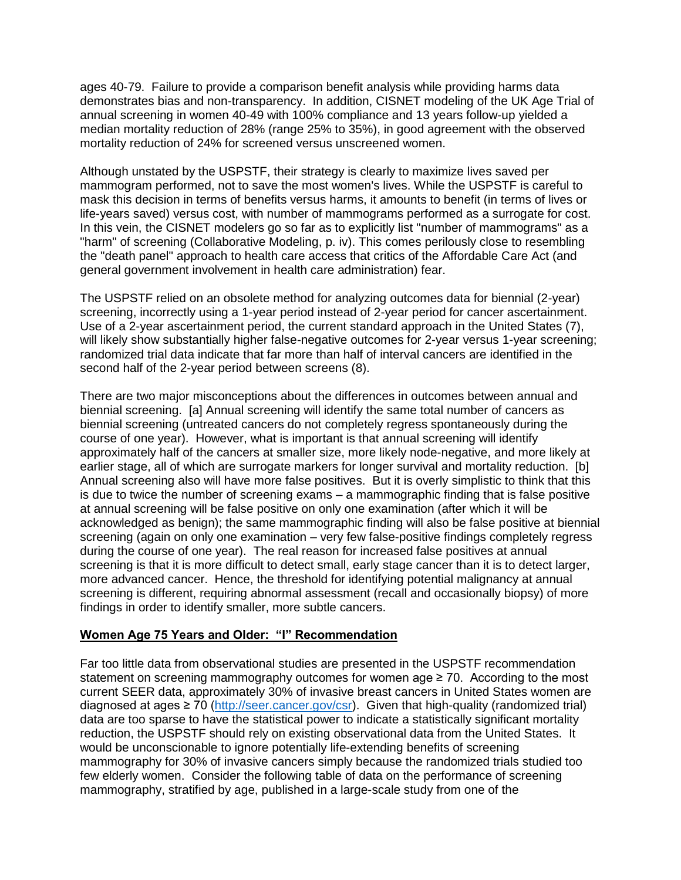ages 40-79. Failure to provide a comparison benefit analysis while providing harms data demonstrates bias and non-transparency. In addition, CISNET modeling of the UK Age Trial of annual screening in women 40-49 with 100% compliance and 13 years follow-up yielded a median mortality reduction of 28% (range 25% to 35%), in good agreement with the observed mortality reduction of 24% for screened versus unscreened women.

Although unstated by the USPSTF, their strategy is clearly to maximize lives saved per mammogram performed, not to save the most women's lives. While the USPSTF is careful to mask this decision in terms of benefits versus harms, it amounts to benefit (in terms of lives or life-years saved) versus cost, with number of mammograms performed as a surrogate for cost. In this vein, the CISNET modelers go so far as to explicitly list "number of mammograms" as a "harm" of screening (Collaborative Modeling, p. iv). This comes perilously close to resembling the "death panel" approach to health care access that critics of the Affordable Care Act (and general government involvement in health care administration) fear.

The USPSTF relied on an obsolete method for analyzing outcomes data for biennial (2-year) screening, incorrectly using a 1-year period instead of 2-year period for cancer ascertainment. Use of a 2-year ascertainment period, the current standard approach in the United States (7), will likely show substantially higher false-negative outcomes for 2-year versus 1-year screening; randomized trial data indicate that far more than half of interval cancers are identified in the second half of the 2-year period between screens (8).

There are two major misconceptions about the differences in outcomes between annual and biennial screening. [a] Annual screening will identify the same total number of cancers as biennial screening (untreated cancers do not completely regress spontaneously during the course of one year). However, what is important is that annual screening will identify approximately half of the cancers at smaller size, more likely node-negative, and more likely at earlier stage, all of which are surrogate markers for longer survival and mortality reduction. [b] Annual screening also will have more false positives. But it is overly simplistic to think that this is due to twice the number of screening exams – a mammographic finding that is false positive at annual screening will be false positive on only one examination (after which it will be acknowledged as benign); the same mammographic finding will also be false positive at biennial screening (again on only one examination – very few false-positive findings completely regress during the course of one year). The real reason for increased false positives at annual screening is that it is more difficult to detect small, early stage cancer than it is to detect larger, more advanced cancer. Hence, the threshold for identifying potential malignancy at annual screening is different, requiring abnormal assessment (recall and occasionally biopsy) of more findings in order to identify smaller, more subtle cancers.

## **Women Age 75 Years and Older: "I" Recommendation**

Far too little data from observational studies are presented in the USPSTF recommendation statement on screening mammography outcomes for women age  $\geq$  70. According to the most current SEER data, approximately 30% of invasive breast cancers in United States women are diagnosed at ages ≥ 70 [\(http://seer.cancer.gov/csr\)](http://seer.cancer.gov/csr). Given that high-quality (randomized trial) data are too sparse to have the statistical power to indicate a statistically significant mortality reduction, the USPSTF should rely on existing observational data from the United States. It would be unconscionable to ignore potentially life-extending benefits of screening mammography for 30% of invasive cancers simply because the randomized trials studied too few elderly women. Consider the following table of data on the performance of screening mammography, stratified by age, published in a large-scale study from one of the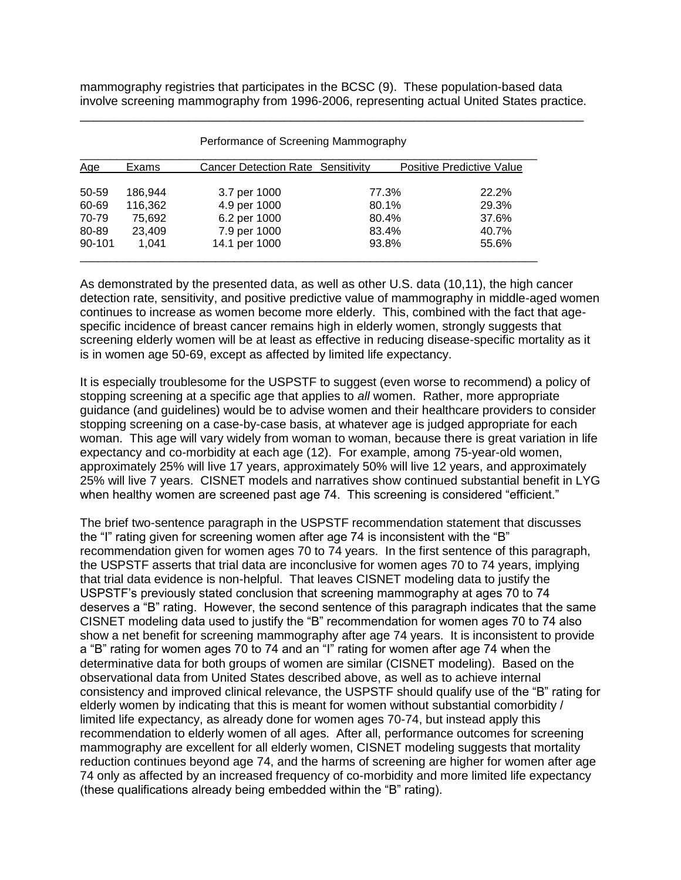mammography registries that participates in the BCSC (9). These population-based data involve screening mammography from 1996-2006, representing actual United States practice. \_\_\_\_\_\_\_\_\_\_\_\_\_\_\_\_\_\_\_\_\_\_\_\_\_\_\_\_\_\_\_\_\_\_\_\_\_\_\_\_\_\_\_\_\_\_\_\_\_\_\_\_\_\_\_\_\_\_\_\_\_\_\_\_\_\_\_\_\_\_\_\_\_\_

| Age    | Exams   | <b>Cancer Detection Rate Sensitivity</b> |       | Positive Predictive Value |  |
|--------|---------|------------------------------------------|-------|---------------------------|--|
|        |         |                                          |       |                           |  |
| 50-59  | 186.944 | 3.7 per 1000                             | 77.3% | 22.2%                     |  |
| 60-69  | 116,362 | 4.9 per 1000                             | 80.1% | 29.3%                     |  |
| 70-79  | 75.692  | 6.2 per 1000                             | 80.4% | 37.6%                     |  |
| 80-89  | 23.409  | 7.9 per 1000                             | 83.4% | 40.7%                     |  |
| 90-101 | 1.041   | 14.1 per 1000                            | 93.8% | 55.6%                     |  |

Performance of Screening Mammography

As demonstrated by the presented data, as well as other U.S. data (10,11), the high cancer detection rate, sensitivity, and positive predictive value of mammography in middle-aged women continues to increase as women become more elderly. This, combined with the fact that agespecific incidence of breast cancer remains high in elderly women, strongly suggests that screening elderly women will be at least as effective in reducing disease-specific mortality as it is in women age 50-69, except as affected by limited life expectancy.

It is especially troublesome for the USPSTF to suggest (even worse to recommend) a policy of stopping screening at a specific age that applies to *all* women. Rather, more appropriate guidance (and guidelines) would be to advise women and their healthcare providers to consider stopping screening on a case-by-case basis, at whatever age is judged appropriate for each woman. This age will vary widely from woman to woman, because there is great variation in life expectancy and co-morbidity at each age (12). For example, among 75-year-old women, approximately 25% will live 17 years, approximately 50% will live 12 years, and approximately 25% will live 7 years. CISNET models and narratives show continued substantial benefit in LYG when healthy women are screened past age 74. This screening is considered "efficient."

The brief two-sentence paragraph in the USPSTF recommendation statement that discusses the "I" rating given for screening women after age 74 is inconsistent with the "B" recommendation given for women ages 70 to 74 years. In the first sentence of this paragraph, the USPSTF asserts that trial data are inconclusive for women ages 70 to 74 years, implying that trial data evidence is non-helpful. That leaves CISNET modeling data to justify the USPSTF's previously stated conclusion that screening mammography at ages 70 to 74 deserves a "B" rating. However, the second sentence of this paragraph indicates that the same CISNET modeling data used to justify the "B" recommendation for women ages 70 to 74 also show a net benefit for screening mammography after age 74 years. It is inconsistent to provide a "B" rating for women ages 70 to 74 and an "I" rating for women after age 74 when the determinative data for both groups of women are similar (CISNET modeling). Based on the observational data from United States described above, as well as to achieve internal consistency and improved clinical relevance, the USPSTF should qualify use of the "B" rating for elderly women by indicating that this is meant for women without substantial comorbidity / limited life expectancy, as already done for women ages 70-74, but instead apply this recommendation to elderly women of all ages. After all, performance outcomes for screening mammography are excellent for all elderly women, CISNET modeling suggests that mortality reduction continues beyond age 74, and the harms of screening are higher for women after age 74 only as affected by an increased frequency of co-morbidity and more limited life expectancy (these qualifications already being embedded within the "B" rating).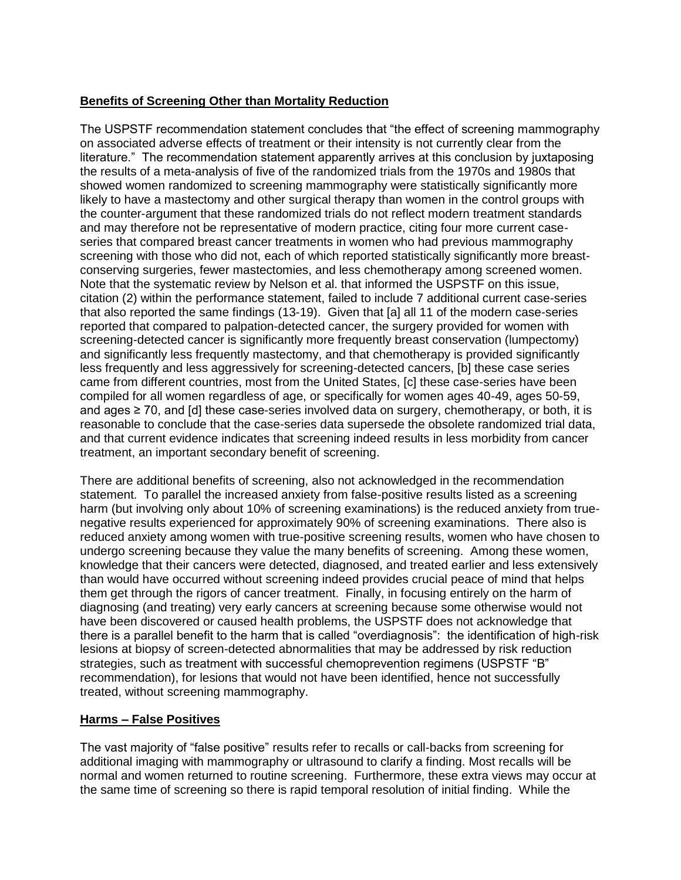## **Benefits of Screening Other than Mortality Reduction**

The USPSTF recommendation statement concludes that "the effect of screening mammography on associated adverse effects of treatment or their intensity is not currently clear from the literature." The recommendation statement apparently arrives at this conclusion by juxtaposing the results of a meta-analysis of five of the randomized trials from the 1970s and 1980s that showed women randomized to screening mammography were statistically significantly more likely to have a mastectomy and other surgical therapy than women in the control groups with the counter-argument that these randomized trials do not reflect modern treatment standards and may therefore not be representative of modern practice, citing four more current caseseries that compared breast cancer treatments in women who had previous mammography screening with those who did not, each of which reported statistically significantly more breastconserving surgeries, fewer mastectomies, and less chemotherapy among screened women. Note that the systematic review by Nelson et al. that informed the USPSTF on this issue, citation (2) within the performance statement, failed to include 7 additional current case-series that also reported the same findings (13-19). Given that [a] all 11 of the modern case-series reported that compared to palpation-detected cancer, the surgery provided for women with screening-detected cancer is significantly more frequently breast conservation (lumpectomy) and significantly less frequently mastectomy, and that chemotherapy is provided significantly less frequently and less aggressively for screening-detected cancers, [b] these case series came from different countries, most from the United States, [c] these case-series have been compiled for all women regardless of age, or specifically for women ages 40-49, ages 50-59, and ages  $\geq$  70, and [d] these case-series involved data on surgery, chemotherapy, or both, it is reasonable to conclude that the case-series data supersede the obsolete randomized trial data, and that current evidence indicates that screening indeed results in less morbidity from cancer treatment, an important secondary benefit of screening.

There are additional benefits of screening, also not acknowledged in the recommendation statement. To parallel the increased anxiety from false-positive results listed as a screening harm (but involving only about 10% of screening examinations) is the reduced anxiety from truenegative results experienced for approximately 90% of screening examinations. There also is reduced anxiety among women with true-positive screening results, women who have chosen to undergo screening because they value the many benefits of screening. Among these women, knowledge that their cancers were detected, diagnosed, and treated earlier and less extensively than would have occurred without screening indeed provides crucial peace of mind that helps them get through the rigors of cancer treatment. Finally, in focusing entirely on the harm of diagnosing (and treating) very early cancers at screening because some otherwise would not have been discovered or caused health problems, the USPSTF does not acknowledge that there is a parallel benefit to the harm that is called "overdiagnosis": the identification of high-risk lesions at biopsy of screen-detected abnormalities that may be addressed by risk reduction strategies, such as treatment with successful chemoprevention regimens (USPSTF "B" recommendation), for lesions that would not have been identified, hence not successfully treated, without screening mammography.

# **Harms – False Positives**

The vast majority of "false positive" results refer to recalls or call-backs from screening for additional imaging with mammography or ultrasound to clarify a finding. Most recalls will be normal and women returned to routine screening. Furthermore, these extra views may occur at the same time of screening so there is rapid temporal resolution of initial finding. While the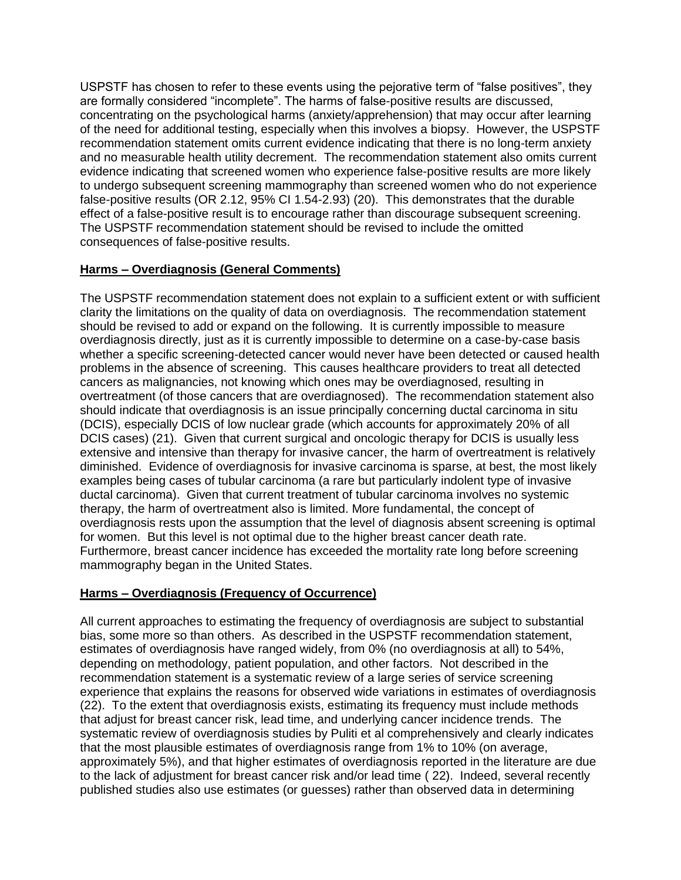USPSTF has chosen to refer to these events using the pejorative term of "false positives", they are formally considered "incomplete". The harms of false-positive results are discussed, concentrating on the psychological harms (anxiety/apprehension) that may occur after learning of the need for additional testing, especially when this involves a biopsy. However, the USPSTF recommendation statement omits current evidence indicating that there is no long-term anxiety and no measurable health utility decrement. The recommendation statement also omits current evidence indicating that screened women who experience false-positive results are more likely to undergo subsequent screening mammography than screened women who do not experience false-positive results (OR 2.12, 95% CI 1.54-2.93) (20). This demonstrates that the durable effect of a false-positive result is to encourage rather than discourage subsequent screening. The USPSTF recommendation statement should be revised to include the omitted consequences of false-positive results.

## **Harms – Overdiagnosis (General Comments)**

The USPSTF recommendation statement does not explain to a sufficient extent or with sufficient clarity the limitations on the quality of data on overdiagnosis. The recommendation statement should be revised to add or expand on the following. It is currently impossible to measure overdiagnosis directly, just as it is currently impossible to determine on a case-by-case basis whether a specific screening-detected cancer would never have been detected or caused health problems in the absence of screening. This causes healthcare providers to treat all detected cancers as malignancies, not knowing which ones may be overdiagnosed, resulting in overtreatment (of those cancers that are overdiagnosed). The recommendation statement also should indicate that overdiagnosis is an issue principally concerning ductal carcinoma in situ (DCIS), especially DCIS of low nuclear grade (which accounts for approximately 20% of all DCIS cases) (21). Given that current surgical and oncologic therapy for DCIS is usually less extensive and intensive than therapy for invasive cancer, the harm of overtreatment is relatively diminished. Evidence of overdiagnosis for invasive carcinoma is sparse, at best, the most likely examples being cases of tubular carcinoma (a rare but particularly indolent type of invasive ductal carcinoma). Given that current treatment of tubular carcinoma involves no systemic therapy, the harm of overtreatment also is limited. More fundamental, the concept of overdiagnosis rests upon the assumption that the level of diagnosis absent screening is optimal for women. But this level is not optimal due to the higher breast cancer death rate. Furthermore, breast cancer incidence has exceeded the mortality rate long before screening mammography began in the United States.

## **Harms – Overdiagnosis (Frequency of Occurrence)**

All current approaches to estimating the frequency of overdiagnosis are subject to substantial bias, some more so than others. As described in the USPSTF recommendation statement, estimates of overdiagnosis have ranged widely, from 0% (no overdiagnosis at all) to 54%, depending on methodology, patient population, and other factors. Not described in the recommendation statement is a systematic review of a large series of service screening experience that explains the reasons for observed wide variations in estimates of overdiagnosis (22). To the extent that overdiagnosis exists, estimating its frequency must include methods that adjust for breast cancer risk, lead time, and underlying cancer incidence trends. The systematic review of overdiagnosis studies by Puliti et al comprehensively and clearly indicates that the most plausible estimates of overdiagnosis range from 1% to 10% (on average, approximately 5%), and that higher estimates of overdiagnosis reported in the literature are due to the lack of adjustment for breast cancer risk and/or lead time ( 22). Indeed, several recently published studies also use estimates (or guesses) rather than observed data in determining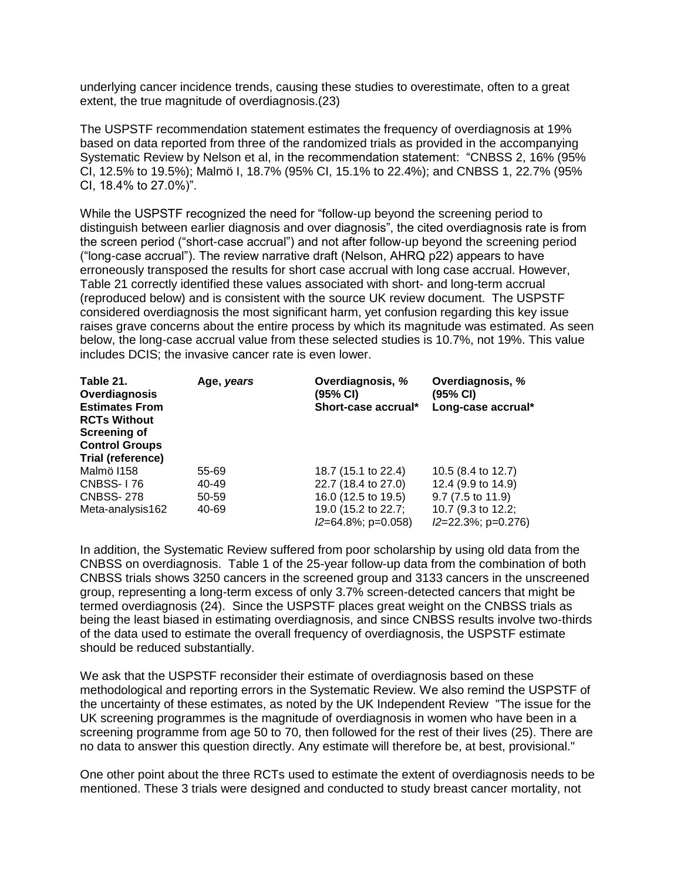underlying cancer incidence trends, causing these studies to overestimate, often to a great extent, the true magnitude of overdiagnosis.(23)

The USPSTF recommendation statement estimates the frequency of overdiagnosis at 19% based on data reported from three of the randomized trials as provided in the accompanying Systematic Review by Nelson et al, in the recommendation statement: "CNBSS 2, 16% (95% CI, 12.5% to 19.5%); Malmö I, 18.7% (95% CI, 15.1% to 22.4%); and CNBSS 1, 22.7% (95% CI, 18.4% to 27.0%)".

While the USPSTF recognized the need for "follow-up beyond the screening period to distinguish between earlier diagnosis and over diagnosis", the cited overdiagnosis rate is from the screen period ("short-case accrual") and not after follow-up beyond the screening period ("long-case accrual"). The review narrative draft (Nelson, AHRQ p22) appears to have erroneously transposed the results for short case accrual with long case accrual. However, Table 21 correctly identified these values associated with short- and long-term accrual (reproduced below) and is consistent with the source UK review document. The USPSTF considered overdiagnosis the most significant harm, yet confusion regarding this key issue raises grave concerns about the entire process by which its magnitude was estimated. As seen below, the long-case accrual value from these selected studies is 10.7%, not 19%. This value includes DCIS; the invasive cancer rate is even lower.

| Table 21.<br>Overdiagnosis<br><b>Estimates From</b><br><b>RCTs Without</b><br><b>Screening of</b><br><b>Control Groups</b><br><b>Trial (reference)</b> | Age, years | Overdiagnosis, %<br>(95% CI)<br>Short-case accrual* | Overdiagnosis, %<br>(95% CI)<br>Long-case accrual* |
|--------------------------------------------------------------------------------------------------------------------------------------------------------|------------|-----------------------------------------------------|----------------------------------------------------|
| Malmö I158                                                                                                                                             | 55-69      | 18.7 (15.1 to 22.4)                                 | 10.5 (8.4 to 12.7)                                 |
| <b>CNBSS-176</b>                                                                                                                                       | 40-49      | 22.7 (18.4 to 27.0)                                 | 12.4 (9.9 to 14.9)                                 |
| <b>CNBSS-278</b>                                                                                                                                       | 50-59      | 16.0 (12.5 to 19.5)                                 | $9.7(7.5 \text{ to } 11.9)$                        |
| Meta-analysis162                                                                                                                                       | 40-69      | 19.0 (15.2 to 22.7;<br>$I2=64.8\%$ ; p=0.058)       | 10.7 (9.3 to 12.2;<br>$I2=22.3\%$ ; p=0.276)       |

In addition, the Systematic Review suffered from poor scholarship by using old data from the CNBSS on overdiagnosis. Table 1 of the 25-year follow-up data from the combination of both CNBSS trials shows 3250 cancers in the screened group and 3133 cancers in the unscreened group, representing a long-term excess of only 3.7% screen-detected cancers that might be termed overdiagnosis (24). Since the USPSTF places great weight on the CNBSS trials as being the least biased in estimating overdiagnosis, and since CNBSS results involve two-thirds of the data used to estimate the overall frequency of overdiagnosis, the USPSTF estimate should be reduced substantially.

We ask that the USPSTF reconsider their estimate of overdiagnosis based on these methodological and reporting errors in the Systematic Review. We also remind the USPSTF of the uncertainty of these estimates, as noted by the UK Independent Review "The issue for the UK screening programmes is the magnitude of overdiagnosis in women who have been in a screening programme from age 50 to 70, then followed for the rest of their lives (25). There are no data to answer this question directly. Any estimate will therefore be, at best, provisional."

One other point about the three RCTs used to estimate the extent of overdiagnosis needs to be mentioned. These 3 trials were designed and conducted to study breast cancer mortality, not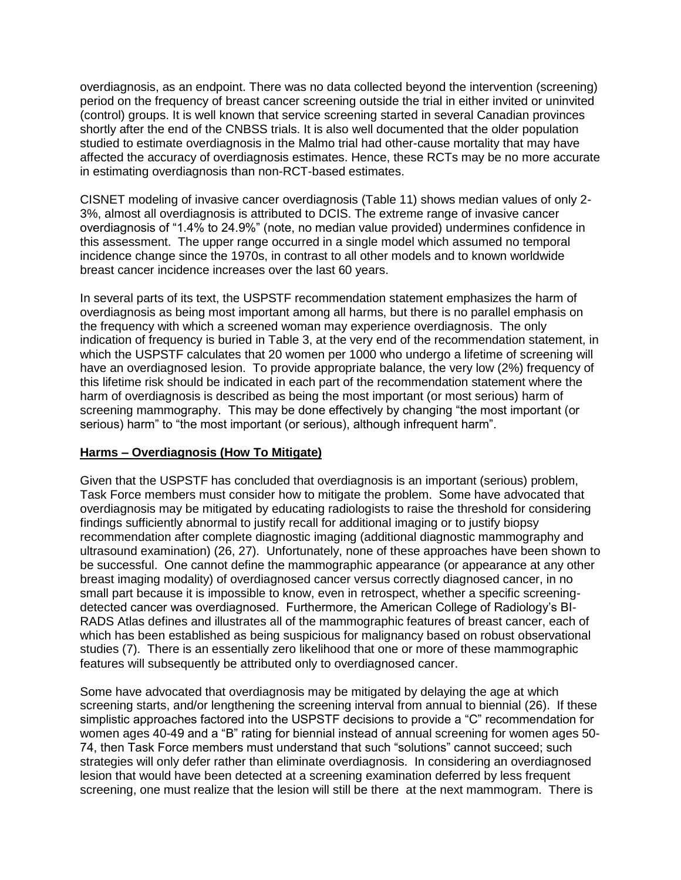overdiagnosis, as an endpoint. There was no data collected beyond the intervention (screening) period on the frequency of breast cancer screening outside the trial in either invited or uninvited (control) groups. It is well known that service screening started in several Canadian provinces shortly after the end of the CNBSS trials. It is also well documented that the older population studied to estimate overdiagnosis in the Malmo trial had other-cause mortality that may have affected the accuracy of overdiagnosis estimates. Hence, these RCTs may be no more accurate in estimating overdiagnosis than non-RCT-based estimates.

CISNET modeling of invasive cancer overdiagnosis (Table 11) shows median values of only 2- 3%, almost all overdiagnosis is attributed to DCIS. The extreme range of invasive cancer overdiagnosis of "1.4% to 24.9%" (note, no median value provided) undermines confidence in this assessment. The upper range occurred in a single model which assumed no temporal incidence change since the 1970s, in contrast to all other models and to known worldwide breast cancer incidence increases over the last 60 years.

In several parts of its text, the USPSTF recommendation statement emphasizes the harm of overdiagnosis as being most important among all harms, but there is no parallel emphasis on the frequency with which a screened woman may experience overdiagnosis. The only indication of frequency is buried in Table 3, at the very end of the recommendation statement, in which the USPSTF calculates that 20 women per 1000 who undergo a lifetime of screening will have an overdiagnosed lesion. To provide appropriate balance, the very low (2%) frequency of this lifetime risk should be indicated in each part of the recommendation statement where the harm of overdiagnosis is described as being the most important (or most serious) harm of screening mammography. This may be done effectively by changing "the most important (or serious) harm" to "the most important (or serious), although infrequent harm".

## **Harms – Overdiagnosis (How To Mitigate)**

Given that the USPSTF has concluded that overdiagnosis is an important (serious) problem, Task Force members must consider how to mitigate the problem. Some have advocated that overdiagnosis may be mitigated by educating radiologists to raise the threshold for considering findings sufficiently abnormal to justify recall for additional imaging or to justify biopsy recommendation after complete diagnostic imaging (additional diagnostic mammography and ultrasound examination) (26, 27). Unfortunately, none of these approaches have been shown to be successful. One cannot define the mammographic appearance (or appearance at any other breast imaging modality) of overdiagnosed cancer versus correctly diagnosed cancer, in no small part because it is impossible to know, even in retrospect, whether a specific screeningdetected cancer was overdiagnosed. Furthermore, the American College of Radiology's BI-RADS Atlas defines and illustrates all of the mammographic features of breast cancer, each of which has been established as being suspicious for malignancy based on robust observational studies (7). There is an essentially zero likelihood that one or more of these mammographic features will subsequently be attributed only to overdiagnosed cancer.

Some have advocated that overdiagnosis may be mitigated by delaying the age at which screening starts, and/or lengthening the screening interval from annual to biennial (26). If these simplistic approaches factored into the USPSTF decisions to provide a "C" recommendation for women ages 40-49 and a "B" rating for biennial instead of annual screening for women ages 50- 74, then Task Force members must understand that such "solutions" cannot succeed; such strategies will only defer rather than eliminate overdiagnosis. In considering an overdiagnosed lesion that would have been detected at a screening examination deferred by less frequent screening, one must realize that the lesion will still be there at the next mammogram. There is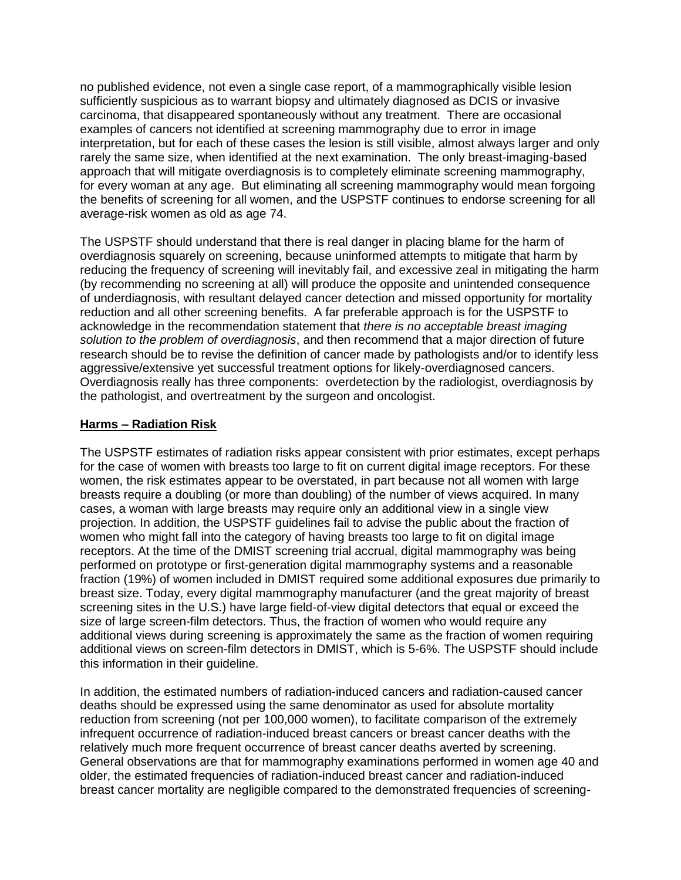no published evidence, not even a single case report, of a mammographically visible lesion sufficiently suspicious as to warrant biopsy and ultimately diagnosed as DCIS or invasive carcinoma, that disappeared spontaneously without any treatment. There are occasional examples of cancers not identified at screening mammography due to error in image interpretation, but for each of these cases the lesion is still visible, almost always larger and only rarely the same size, when identified at the next examination. The only breast-imaging-based approach that will mitigate overdiagnosis is to completely eliminate screening mammography, for every woman at any age. But eliminating all screening mammography would mean forgoing the benefits of screening for all women, and the USPSTF continues to endorse screening for all average-risk women as old as age 74.

The USPSTF should understand that there is real danger in placing blame for the harm of overdiagnosis squarely on screening, because uninformed attempts to mitigate that harm by reducing the frequency of screening will inevitably fail, and excessive zeal in mitigating the harm (by recommending no screening at all) will produce the opposite and unintended consequence of underdiagnosis, with resultant delayed cancer detection and missed opportunity for mortality reduction and all other screening benefits. A far preferable approach is for the USPSTF to acknowledge in the recommendation statement that *there is no acceptable breast imaging solution to the problem of overdiagnosis*, and then recommend that a major direction of future research should be to revise the definition of cancer made by pathologists and/or to identify less aggressive/extensive yet successful treatment options for likely-overdiagnosed cancers. Overdiagnosis really has three components: overdetection by the radiologist, overdiagnosis by the pathologist, and overtreatment by the surgeon and oncologist.

## **Harms – Radiation Risk**

The USPSTF estimates of radiation risks appear consistent with prior estimates, except perhaps for the case of women with breasts too large to fit on current digital image receptors. For these women, the risk estimates appear to be overstated, in part because not all women with large breasts require a doubling (or more than doubling) of the number of views acquired. In many cases, a woman with large breasts may require only an additional view in a single view projection. In addition, the USPSTF guidelines fail to advise the public about the fraction of women who might fall into the category of having breasts too large to fit on digital image receptors. At the time of the DMIST screening trial accrual, digital mammography was being performed on prototype or first-generation digital mammography systems and a reasonable fraction (19%) of women included in DMIST required some additional exposures due primarily to breast size. Today, every digital mammography manufacturer (and the great majority of breast screening sites in the U.S.) have large field-of-view digital detectors that equal or exceed the size of large screen-film detectors. Thus, the fraction of women who would require any additional views during screening is approximately the same as the fraction of women requiring additional views on screen-film detectors in DMIST, which is 5-6%. The USPSTF should include this information in their guideline.

In addition, the estimated numbers of radiation-induced cancers and radiation-caused cancer deaths should be expressed using the same denominator as used for absolute mortality reduction from screening (not per 100,000 women), to facilitate comparison of the extremely infrequent occurrence of radiation-induced breast cancers or breast cancer deaths with the relatively much more frequent occurrence of breast cancer deaths averted by screening. General observations are that for mammography examinations performed in women age 40 and older, the estimated frequencies of radiation-induced breast cancer and radiation-induced breast cancer mortality are negligible compared to the demonstrated frequencies of screening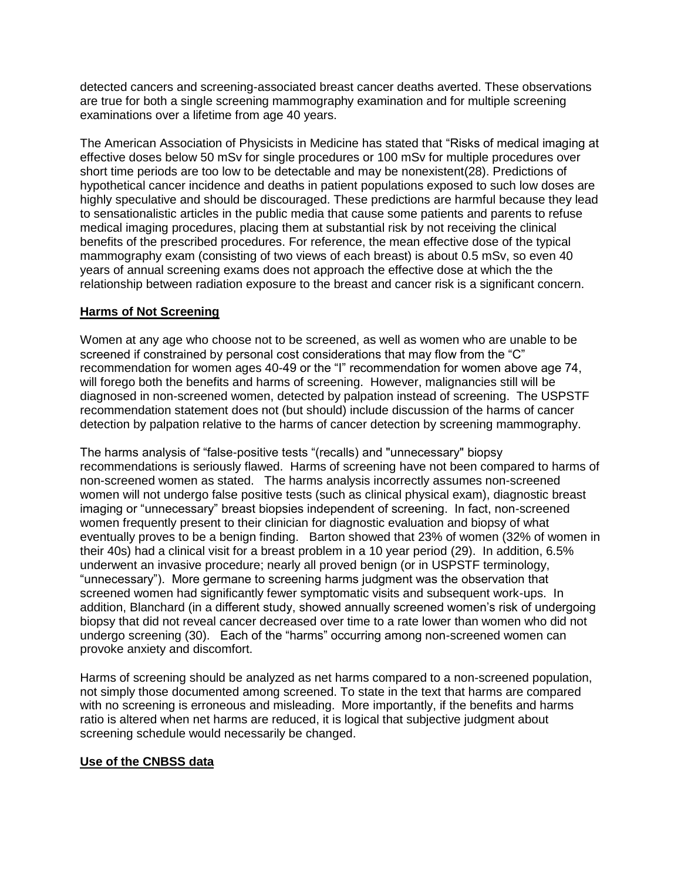detected cancers and screening-associated breast cancer deaths averted. These observations are true for both a single screening mammography examination and for multiple screening examinations over a lifetime from age 40 years.

The American Association of Physicists in Medicine has stated that "Risks of medical imaging at effective doses below 50 mSv for single procedures or 100 mSv for multiple procedures over short time periods are too low to be detectable and may be nonexistent(28). Predictions of hypothetical cancer incidence and deaths in patient populations exposed to such low doses are highly speculative and should be discouraged. These predictions are harmful because they lead to sensationalistic articles in the public media that cause some patients and parents to refuse medical imaging procedures, placing them at substantial risk by not receiving the clinical benefits of the prescribed procedures. For reference, the mean effective dose of the typical mammography exam (consisting of two views of each breast) is about 0.5 mSv, so even 40 years of annual screening exams does not approach the effective dose at which the the relationship between radiation exposure to the breast and cancer risk is a significant concern.

## **Harms of Not Screening**

Women at any age who choose not to be screened, as well as women who are unable to be screened if constrained by personal cost considerations that may flow from the "C" recommendation for women ages 40-49 or the "I" recommendation for women above age 74, will forego both the benefits and harms of screening. However, malignancies still will be diagnosed in non-screened women, detected by palpation instead of screening. The USPSTF recommendation statement does not (but should) include discussion of the harms of cancer detection by palpation relative to the harms of cancer detection by screening mammography.

The harms analysis of "false-positive tests "(recalls) and "unnecessary" biopsy recommendations is seriously flawed. Harms of screening have not been compared to harms of non-screened women as stated. The harms analysis incorrectly assumes non-screened women will not undergo false positive tests (such as clinical physical exam), diagnostic breast imaging or "unnecessary" breast biopsies independent of screening. In fact, non-screened women frequently present to their clinician for diagnostic evaluation and biopsy of what eventually proves to be a benign finding. Barton showed that 23% of women (32% of women in their 40s) had a clinical visit for a breast problem in a 10 year period (29). In addition, 6.5% underwent an invasive procedure; nearly all proved benign (or in USPSTF terminology, "unnecessary"). More germane to screening harms judgment was the observation that screened women had significantly fewer symptomatic visits and subsequent work-ups. In addition, Blanchard (in a different study, showed annually screened women's risk of undergoing biopsy that did not reveal cancer decreased over time to a rate lower than women who did not undergo screening (30). Each of the "harms" occurring among non-screened women can provoke anxiety and discomfort.

Harms of screening should be analyzed as net harms compared to a non-screened population, not simply those documented among screened. To state in the text that harms are compared with no screening is erroneous and misleading. More importantly, if the benefits and harms ratio is altered when net harms are reduced, it is logical that subjective judgment about screening schedule would necessarily be changed.

## **Use of the CNBSS data**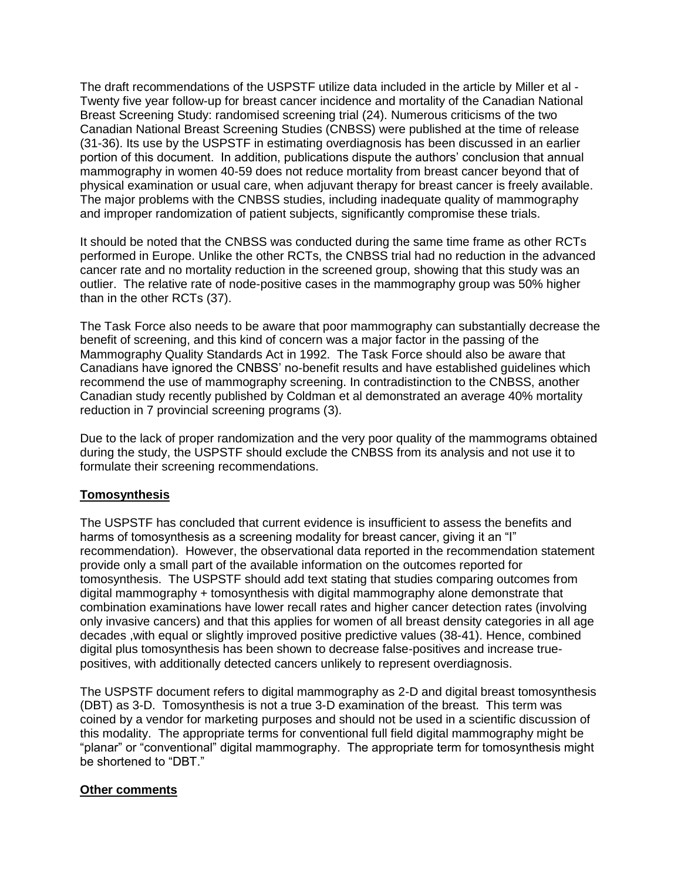The draft recommendations of the USPSTF utilize data included in the article by Miller et al - Twenty five year follow-up for breast cancer incidence and mortality of the Canadian National Breast Screening Study: randomised screening trial (24). Numerous criticisms of the two Canadian National Breast Screening Studies (CNBSS) were published at the time of release (31-36). Its use by the USPSTF in estimating overdiagnosis has been discussed in an earlier portion of this document. In addition, publications dispute the authors' conclusion that annual mammography in women 40-59 does not reduce mortality from breast cancer beyond that of physical examination or usual care, when adjuvant therapy for breast cancer is freely available. The major problems with the CNBSS studies, including inadequate quality of mammography and improper randomization of patient subjects, significantly compromise these trials.

It should be noted that the CNBSS was conducted during the same time frame as other RCTs performed in Europe. Unlike the other RCTs, the CNBSS trial had no reduction in the advanced cancer rate and no mortality reduction in the screened group, showing that this study was an outlier. The relative rate of node-positive cases in the mammography group was 50% higher than in the other RCTs (37).

The Task Force also needs to be aware that poor mammography can substantially decrease the benefit of screening, and this kind of concern was a major factor in the passing of the Mammography Quality Standards Act in 1992. The Task Force should also be aware that Canadians have ignored the CNBSS' no-benefit results and have established guidelines which recommend the use of mammography screening. In contradistinction to the CNBSS, another Canadian study recently published by Coldman et al demonstrated an average 40% mortality reduction in 7 provincial screening programs (3).

Due to the lack of proper randomization and the very poor quality of the mammograms obtained during the study, the USPSTF should exclude the CNBSS from its analysis and not use it to formulate their screening recommendations.

## **Tomosynthesis**

The USPSTF has concluded that current evidence is insufficient to assess the benefits and harms of tomosynthesis as a screening modality for breast cancer, giving it an "I" recommendation). However, the observational data reported in the recommendation statement provide only a small part of the available information on the outcomes reported for tomosynthesis. The USPSTF should add text stating that studies comparing outcomes from digital mammography + tomosynthesis with digital mammography alone demonstrate that combination examinations have lower recall rates and higher cancer detection rates (involving only invasive cancers) and that this applies for women of all breast density categories in all age decades ,with equal or slightly improved positive predictive values (38-41). Hence, combined digital plus tomosynthesis has been shown to decrease false-positives and increase truepositives, with additionally detected cancers unlikely to represent overdiagnosis.

The USPSTF document refers to digital mammography as 2-D and digital breast tomosynthesis (DBT) as 3-D. Tomosynthesis is not a true 3-D examination of the breast. This term was coined by a vendor for marketing purposes and should not be used in a scientific discussion of this modality. The appropriate terms for conventional full field digital mammography might be "planar" or "conventional" digital mammography. The appropriate term for tomosynthesis might be shortened to "DBT."

#### **Other comments**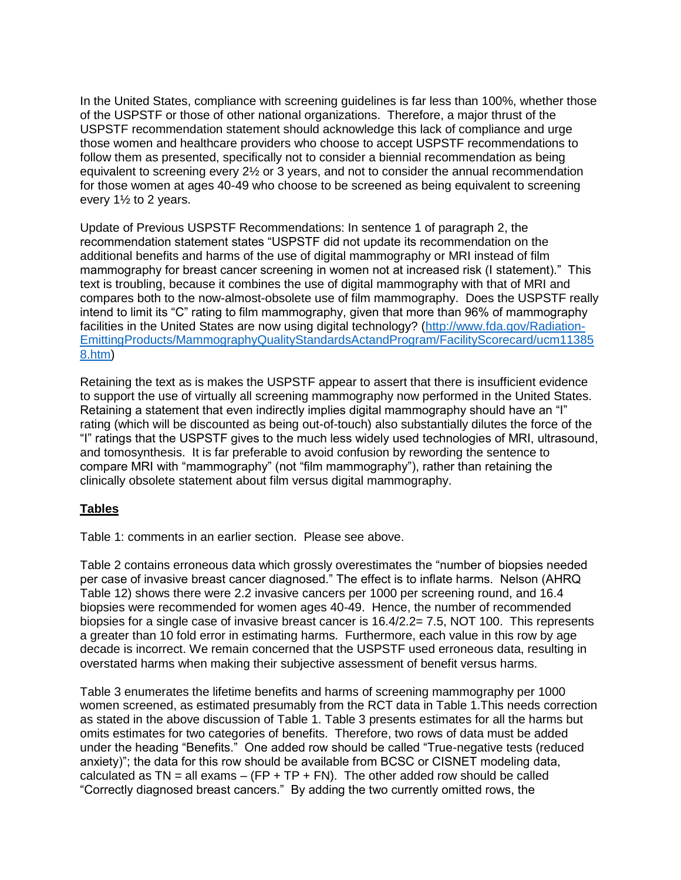In the United States, compliance with screening guidelines is far less than 100%, whether those of the USPSTF or those of other national organizations. Therefore, a major thrust of the USPSTF recommendation statement should acknowledge this lack of compliance and urge those women and healthcare providers who choose to accept USPSTF recommendations to follow them as presented, specifically not to consider a biennial recommendation as being equivalent to screening every 2½ or 3 years, and not to consider the annual recommendation for those women at ages 40-49 who choose to be screened as being equivalent to screening every 1½ to 2 years.

Update of Previous USPSTF Recommendations: In sentence 1 of paragraph 2, the recommendation statement states "USPSTF did not update its recommendation on the additional benefits and harms of the use of digital mammography or MRI instead of film mammography for breast cancer screening in women not at increased risk (I statement)." This text is troubling, because it combines the use of digital mammography with that of MRI and compares both to the now-almost-obsolete use of film mammography. Does the USPSTF really intend to limit its "C" rating to film mammography, given that more than 96% of mammography facilities in the United States are now using digital technology? [\(http://www.fda.gov/Radiation-](https://mail.ucsf.edu/OWA/redir.aspx?C=STBziRpVA0iNrXPPKjbxS8tAtZVJsdEIqJ92FzmU8wR_MNESKXATw2YG0b4ve424fARqL_vL064.&URL=http%3a%2f%2fwww.fda.gov%2fRadiation-EmittingProducts%2fMammographyQualityStandardsActandProgram%2fFacilityScorecard%2fucm113858.htm)[EmittingProducts/MammographyQualityStandardsActandProgram/FacilityScorecard/ucm11385](https://mail.ucsf.edu/OWA/redir.aspx?C=STBziRpVA0iNrXPPKjbxS8tAtZVJsdEIqJ92FzmU8wR_MNESKXATw2YG0b4ve424fARqL_vL064.&URL=http%3a%2f%2fwww.fda.gov%2fRadiation-EmittingProducts%2fMammographyQualityStandardsActandProgram%2fFacilityScorecard%2fucm113858.htm) [8.htm\)](https://mail.ucsf.edu/OWA/redir.aspx?C=STBziRpVA0iNrXPPKjbxS8tAtZVJsdEIqJ92FzmU8wR_MNESKXATw2YG0b4ve424fARqL_vL064.&URL=http%3a%2f%2fwww.fda.gov%2fRadiation-EmittingProducts%2fMammographyQualityStandardsActandProgram%2fFacilityScorecard%2fucm113858.htm)

Retaining the text as is makes the USPSTF appear to assert that there is insufficient evidence to support the use of virtually all screening mammography now performed in the United States. Retaining a statement that even indirectly implies digital mammography should have an "I" rating (which will be discounted as being out-of-touch) also substantially dilutes the force of the "I" ratings that the USPSTF gives to the much less widely used technologies of MRI, ultrasound, and tomosynthesis. It is far preferable to avoid confusion by rewording the sentence to compare MRI with "mammography" (not "film mammography"), rather than retaining the clinically obsolete statement about film versus digital mammography.

## **Tables**

Table 1: comments in an earlier section. Please see above.

Table 2 contains erroneous data which grossly overestimates the "number of biopsies needed per case of invasive breast cancer diagnosed." The effect is to inflate harms. Nelson (AHRQ Table 12) shows there were 2.2 invasive cancers per 1000 per screening round, and 16.4 biopsies were recommended for women ages 40-49. Hence, the number of recommended biopsies for a single case of invasive breast cancer is 16.4/2.2= 7.5, NOT 100. This represents a greater than 10 fold error in estimating harms. Furthermore, each value in this row by age decade is incorrect. We remain concerned that the USPSTF used erroneous data, resulting in overstated harms when making their subjective assessment of benefit versus harms.

Table 3 enumerates the lifetime benefits and harms of screening mammography per 1000 women screened, as estimated presumably from the RCT data in Table 1.This needs correction as stated in the above discussion of Table 1. Table 3 presents estimates for all the harms but omits estimates for two categories of benefits. Therefore, two rows of data must be added under the heading "Benefits." One added row should be called "True-negative tests (reduced anxiety)"; the data for this row should be available from BCSC or CISNET modeling data, calculated as  $TN =$  all exams – (FP + TP + FN). The other added row should be called "Correctly diagnosed breast cancers." By adding the two currently omitted rows, the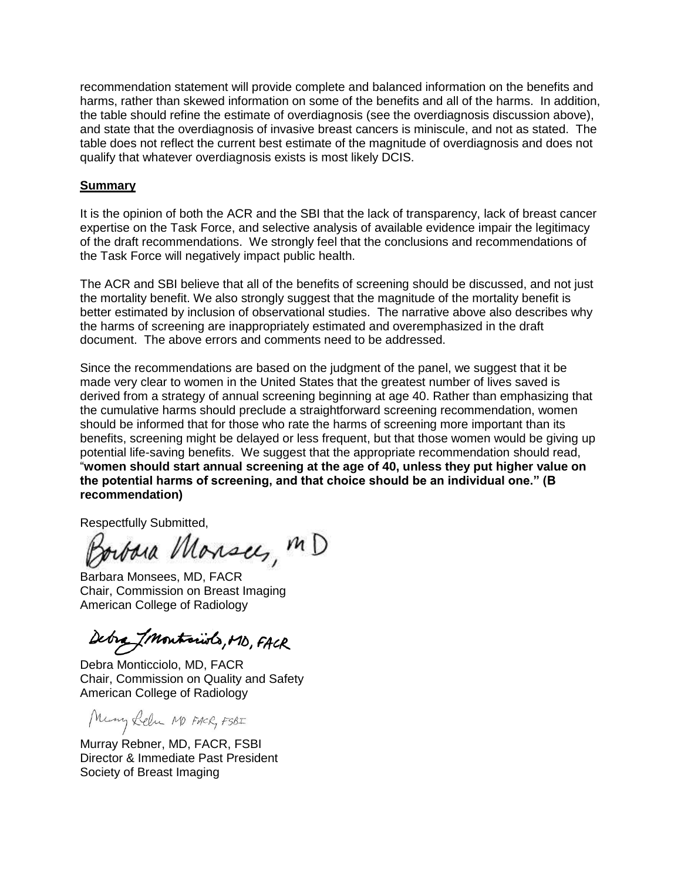recommendation statement will provide complete and balanced information on the benefits and harms, rather than skewed information on some of the benefits and all of the harms. In addition, the table should refine the estimate of overdiagnosis (see the overdiagnosis discussion above), and state that the overdiagnosis of invasive breast cancers is miniscule, and not as stated. The table does not reflect the current best estimate of the magnitude of overdiagnosis and does not qualify that whatever overdiagnosis exists is most likely DCIS.

#### **Summary**

It is the opinion of both the ACR and the SBI that the lack of transparency, lack of breast cancer expertise on the Task Force, and selective analysis of available evidence impair the legitimacy of the draft recommendations. We strongly feel that the conclusions and recommendations of the Task Force will negatively impact public health.

The ACR and SBI believe that all of the benefits of screening should be discussed, and not just the mortality benefit. We also strongly suggest that the magnitude of the mortality benefit is better estimated by inclusion of observational studies. The narrative above also describes why the harms of screening are inappropriately estimated and overemphasized in the draft document. The above errors and comments need to be addressed.

Since the recommendations are based on the judgment of the panel, we suggest that it be made very clear to women in the United States that the greatest number of lives saved is derived from a strategy of annual screening beginning at age 40. Rather than emphasizing that the cumulative harms should preclude a straightforward screening recommendation, women should be informed that for those who rate the harms of screening more important than its benefits, screening might be delayed or less frequent, but that those women would be giving up potential life-saving benefits. We suggest that the appropriate recommendation should read, "**women should start annual screening at the age of 40, unless they put higher value on the potential harms of screening, and that choice should be an individual one." (B recommendation)** 

Respectfully Submitted,

orbara Monsees, MD

Barbara Monsees, MD, FACR Chair, Commission on Breast Imaging American College of Radiology

Debra Imontariols, MD, FACR

Debra Monticciolo, MD, FACR Chair, Commission on Quality and Safety American College of Radiology

Many Lebu M FACR, FSBI

Murray Rebner, MD, FACR, FSBI Director & Immediate Past President Society of Breast Imaging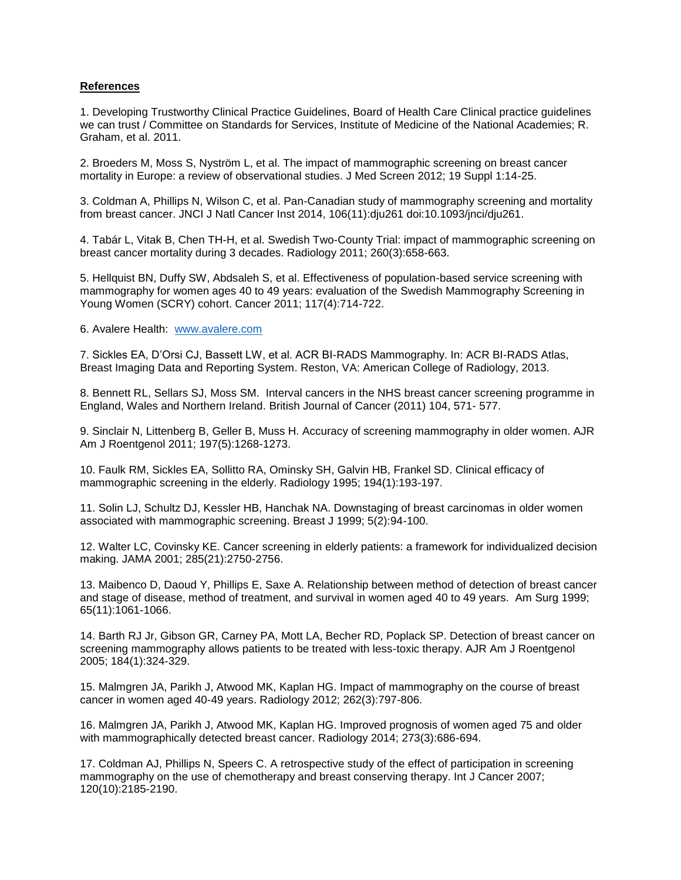#### **References**

1. Developing Trustworthy Clinical Practice Guidelines, Board of Health Care Clinical practice guidelines we can trust / Committee on Standards for Services, Institute of Medicine of the National Academies; R. Graham, et al. 2011.

2. Broeders M, Moss S, Nyström L, et al. The impact of mammographic screening on breast cancer mortality in Europe: a review of observational studies. J Med Screen 2012; 19 Suppl 1:14-25.

3. Coldman A, Phillips N, Wilson C, et al. Pan-Canadian study of mammography screening and mortality from breast cancer. JNCI J Natl Cancer Inst 2014, 106(11):dju261 doi:10.1093/jnci/dju261.

4. Tabár L, Vitak B, Chen TH-H, et al. Swedish Two-County Trial: impact of mammographic screening on breast cancer mortality during 3 decades. Radiology 2011; 260(3):658-663.

5. Hellquist BN, Duffy SW, Abdsaleh S, et al. Effectiveness of population-based service screening with mammography for women ages 40 to 49 years: evaluation of the Swedish Mammography Screening in Young Women (SCRY) cohort. Cancer 2011; 117(4):714-722.

6. Avalere Health: [www.avalere.com](http://www.avalere.com/)

7. Sickles EA, D'Orsi CJ, Bassett LW, et al. ACR BI-RADS Mammography. In: ACR BI-RADS Atlas, Breast Imaging Data and Reporting System. Reston, VA: American College of Radiology, 2013.

8. Bennett RL, Sellars SJ, Moss SM. Interval cancers in the NHS breast cancer screening programme in England, Wales and Northern Ireland. British Journal of Cancer (2011) 104, 571- 577.

9. Sinclair N, Littenberg B, Geller B, Muss H. Accuracy of screening mammography in older women. AJR Am J Roentgenol 2011; 197(5):1268-1273.

10. Faulk RM, Sickles EA, Sollitto RA, Ominsky SH, Galvin HB, Frankel SD. Clinical efficacy of mammographic screening in the elderly. Radiology 1995; 194(1):193-197.

11. Solin LJ, Schultz DJ, Kessler HB, Hanchak NA. Downstaging of breast carcinomas in older women associated with mammographic screening. Breast J 1999; 5(2):94-100.

12. Walter LC, Covinsky KE. Cancer screening in elderly patients: a framework for individualized decision making. JAMA 2001; 285(21):2750-2756.

13. Maibenco D, Daoud Y, Phillips E, Saxe A. Relationship between method of detection of breast cancer and stage of disease, method of treatment, and survival in women aged 40 to 49 years. Am Surg 1999; 65(11):1061-1066.

14. Barth RJ Jr, Gibson GR, Carney PA, Mott LA, Becher RD, Poplack SP. Detection of breast cancer on screening mammography allows patients to be treated with less-toxic therapy. AJR Am J Roentgenol 2005; 184(1):324-329.

15. Malmgren JA, Parikh J, Atwood MK, Kaplan HG. Impact of mammography on the course of breast cancer in women aged 40-49 years. Radiology 2012; 262(3):797-806.

16. Malmgren JA, Parikh J, Atwood MK, Kaplan HG. Improved prognosis of women aged 75 and older with mammographically detected breast cancer. Radiology 2014; 273(3):686-694.

17. Coldman AJ, Phillips N, Speers C. A retrospective study of the effect of participation in screening mammography on the use of chemotherapy and breast conserving therapy. Int J Cancer 2007; 120(10):2185-2190.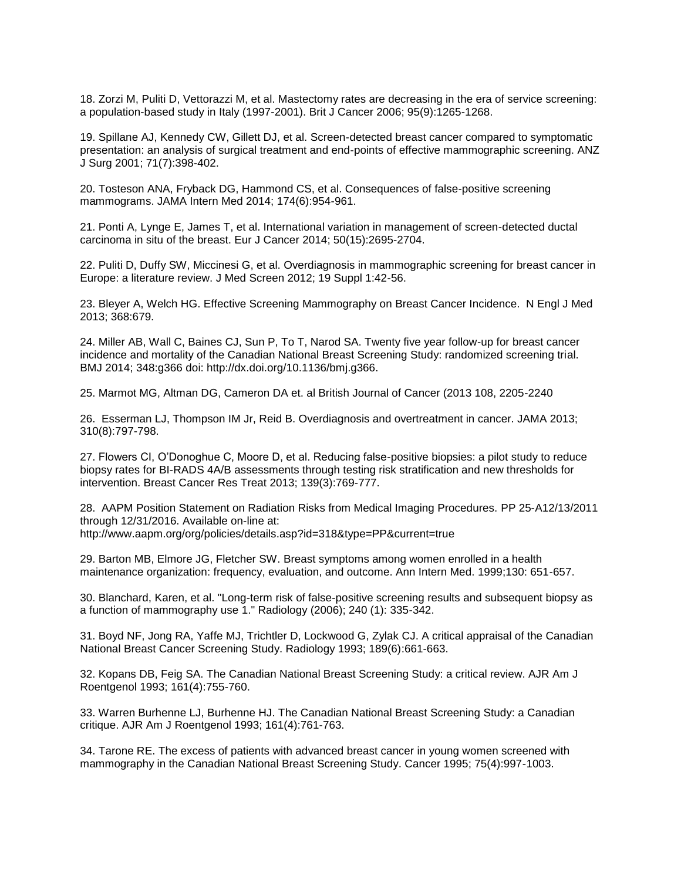18. Zorzi M, Puliti D, Vettorazzi M, et al. Mastectomy rates are decreasing in the era of service screening: a population-based study in Italy (1997-2001). Brit J Cancer 2006; 95(9):1265-1268.

19. Spillane AJ, Kennedy CW, Gillett DJ, et al. Screen-detected breast cancer compared to symptomatic presentation: an analysis of surgical treatment and end-points of effective mammographic screening. ANZ J Surg 2001; 71(7):398-402.

20. Tosteson ANA, Fryback DG, Hammond CS, et al. Consequences of false-positive screening mammograms. JAMA Intern Med 2014; 174(6):954-961.

21. Ponti A, Lynge E, James T, et al. International variation in management of screen-detected ductal carcinoma in situ of the breast. Eur J Cancer 2014; 50(15):2695-2704.

22. Puliti D, Duffy SW, Miccinesi G, et al. Overdiagnosis in mammographic screening for breast cancer in Europe: a literature review. J Med Screen 2012; 19 Suppl 1:42-56.

23. Bleyer A, Welch HG. Effective Screening Mammography on Breast Cancer Incidence. N Engl J Med 2013; 368:679.

24. Miller AB, Wall C, Baines CJ, Sun P, To T, Narod SA. Twenty five year follow-up for breast cancer incidence and mortality of the Canadian National Breast Screening Study: randomized screening trial. BMJ 2014; 348:g366 doi: http://dx.doi.org/10.1136/bmj.g366.

25. Marmot MG, Altman DG, Cameron DA et. al British Journal of Cancer (2013 108, 2205-2240

26. Esserman LJ, Thompson IM Jr, Reid B. Overdiagnosis and overtreatment in cancer. JAMA 2013; 310(8):797-798.

27. Flowers CI, O'Donoghue C, Moore D, et al. Reducing false-positive biopsies: a pilot study to reduce biopsy rates for BI-RADS 4A/B assessments through testing risk stratification and new thresholds for intervention. Breast Cancer Res Treat 2013; 139(3):769-777.

28. AAPM Position Statement on Radiation Risks from Medical Imaging Procedures. PP 25-A12/13/2011 through 12/31/2016. Available on-line at: http://www.aapm.org/org/policies/details.asp?id=318&type=PP&current=true

29. Barton MB, Elmore JG, Fletcher SW. Breast symptoms among women enrolled in a health maintenance organization: frequency, evaluation, and outcome. Ann Intern Med. 1999;130: 651-657.

30. Blanchard, Karen, et al. "Long-term risk of false-positive screening results and subsequent biopsy as a function of mammography use 1." Radiology (2006); 240 (1): 335-342.

31. Boyd NF, Jong RA, Yaffe MJ, Trichtler D, Lockwood G, Zylak CJ. A critical appraisal of the Canadian National Breast Cancer Screening Study. Radiology 1993; 189(6):661-663.

32. Kopans DB, Feig SA. The Canadian National Breast Screening Study: a critical review. AJR Am J Roentgenol 1993; 161(4):755-760.

33. Warren Burhenne LJ, Burhenne HJ. The Canadian National Breast Screening Study: a Canadian critique. AJR Am J Roentgenol 1993; 161(4):761-763.

34. Tarone RE. The excess of patients with advanced breast cancer in young women screened with mammography in the Canadian National Breast Screening Study. Cancer 1995; 75(4):997-1003.